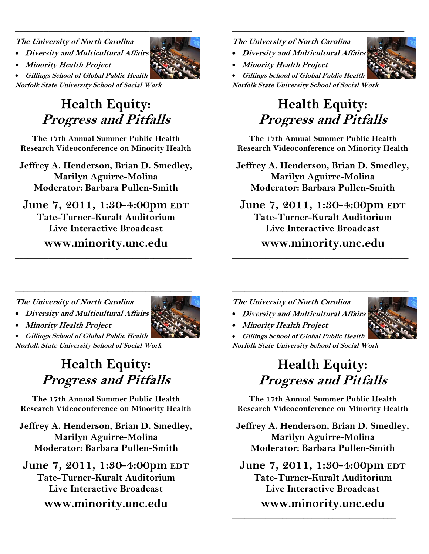**The University of North Carolina** 

• **Diversity and Multicultural Affairs** 

• **Minority Health Project** 

• **Gillings School of Global Public Health Norfolk State University School of Social Work** 

# **Health Equity: Progress and Pitfalls**

\_\_\_\_\_\_\_\_\_\_\_\_\_\_\_\_\_\_\_\_\_\_\_\_\_\_\_\_\_\_\_\_\_\_\_\_\_\_\_\_\_\_

**The 17th Annual Summer Public Health Research Videoconference on Minority Health** 

**Jeffrey A. Henderson, Brian D. Smedley, Marilyn Aguirre-Molina Moderator: Barbara Pullen-Smith** 

**June 7, 2011, 1:30-4:00pm EDT Tate-Turner-Kuralt Auditorium Live Interactive Broadcast www.minority.unc.edu** 

\_\_\_\_\_\_\_\_\_\_\_\_\_\_\_\_\_\_\_\_\_\_\_\_\_\_\_\_\_\_\_\_\_\_\_\_\_\_\_\_\_\_

**The University of North Carolina** 

- **Diversity and Multicultural Affairs**
- **Minority Health Project**

• **Gillings School of Global Public Health Norfolk State University School of Social Work** 

# **Health Equity: Progress and Pitfalls**

 $\frac{1}{2}$  , and the set of the set of the set of the set of the set of the set of the set of the set of the set of the set of the set of the set of the set of the set of the set of the set of the set of the set of the set

**The 17th Annual Summer Public Health Research Videoconference on Minority Health** 

**Jeffrey A. Henderson, Brian D. Smedley, Marilyn Aguirre-Molina Moderator: Barbara Pullen-Smith** 

**June 7, 2011, 1:30-4:00pm EDT Tate-Turner-Kuralt Auditorium Live Interactive Broadcast www.minority.unc.edu** 

\_\_\_\_\_\_\_\_\_\_\_\_\_\_\_\_\_\_\_\_\_\_\_\_\_\_\_\_\_\_\_\_\_\_\_\_\_\_\_\_\_\_

\_\_\_\_\_\_\_\_\_\_\_\_\_\_\_\_\_\_\_\_\_\_\_\_\_\_\_\_\_\_\_\_\_\_\_\_\_\_\_\_\_\_

**The University of North Carolina** 

- **Diversity and Multicultural Affairs**
- 
- **Minority Health Project**

• **Gillings School of Global Public Health Norfolk State University School of Social Work** 

## **Health Equity: Progress and Pitfalls**

**The 17th Annual Summer Public Health Research Videoconference on Minority Health** 

**Jeffrey A. Henderson, Brian D. Smedley, Marilyn Aguirre-Molina Moderator: Barbara Pullen-Smith** 

**June 7, 2011, 1:30-4:00pm EDT Tate-Turner-Kuralt Auditorium Live Interactive Broadcast www.minority.unc.edu** 

**\_\_\_\_\_\_\_\_\_\_\_\_\_\_\_\_\_\_\_\_\_\_\_\_\_\_\_\_\_\_** 

**The University of North Carolina** 

- **Diversity and Multicultural Affairs**
- **Minority Health Project**

• **Gillings School of Global Public Health Norfolk State University School of Social Work** 

# **Health Equity: Progress and Pitfalls**

**The 17th Annual Summer Public Health Research Videoconference on Minority Health** 

**Jeffrey A. Henderson, Brian D. Smedley, Marilyn Aguirre-Molina Moderator: Barbara Pullen-Smith** 

**June 7, 2011, 1:30-4:00pm EDT Tate-Turner-Kuralt Auditorium Live Interactive Broadcast** 

**www.minority.unc.edu** 

 $\frac{1}{2}$  ,  $\frac{1}{2}$  ,  $\frac{1}{2}$  ,  $\frac{1}{2}$  ,  $\frac{1}{2}$  ,  $\frac{1}{2}$  ,  $\frac{1}{2}$  ,  $\frac{1}{2}$  ,  $\frac{1}{2}$  ,  $\frac{1}{2}$  ,  $\frac{1}{2}$  ,  $\frac{1}{2}$  ,  $\frac{1}{2}$  ,  $\frac{1}{2}$  ,  $\frac{1}{2}$  ,  $\frac{1}{2}$  ,  $\frac{1}{2}$  ,  $\frac{1}{2}$  ,  $\frac{1$